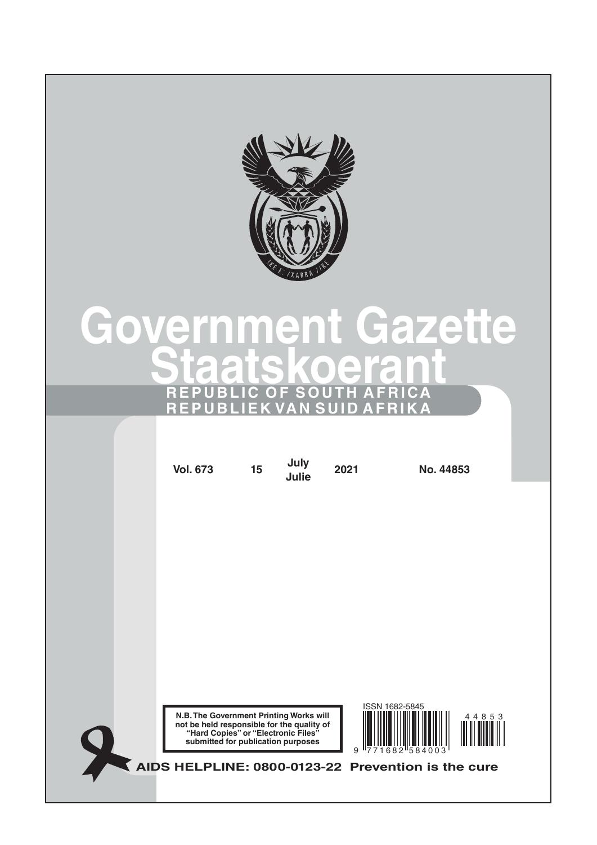

# **Government Gazette Staatskoerant REPUBLIC OF SOUTH AFRICA REPUBLIEK VAN SUID AFRIKA**

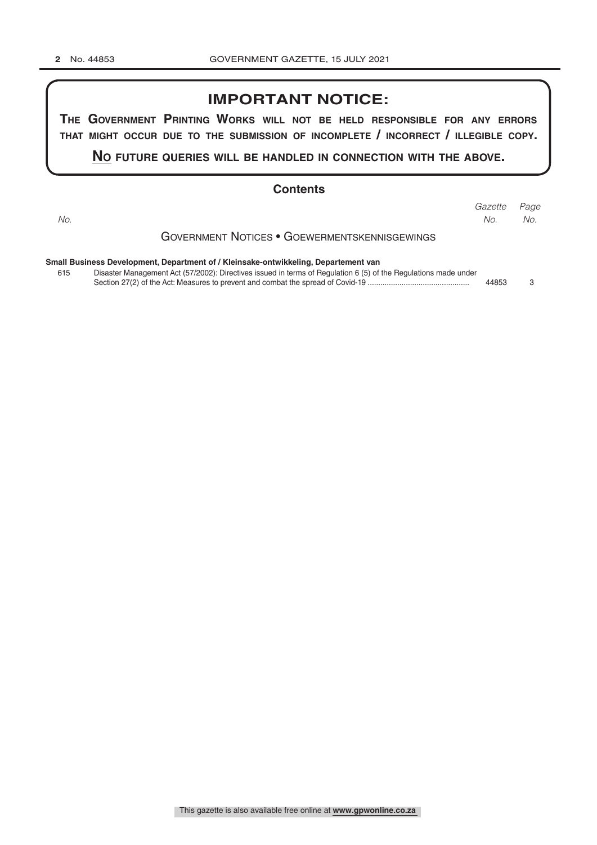# **IMPORTANT NOTICE:**

**The GovernmenT PrinTinG Works Will noT be held resPonsible for any errors ThaT miGhT occur due To The submission of incomPleTe / incorrecT / illeGible coPy.**

# **no fuTure queries Will be handled in connecTion WiTh The above.**

#### **Contents**

*Page Gazette No. No. No.*

# Government Notices • Goewermentskennisgewings

#### **Small Business Development, Department of / Kleinsake-ontwikkeling, Departement van**

| 615 | Disaster Management Act (57/2002): Directives issued in terms of Regulation 6 (5) of the Regulations made under |       |  |
|-----|-----------------------------------------------------------------------------------------------------------------|-------|--|
|     |                                                                                                                 | 44853 |  |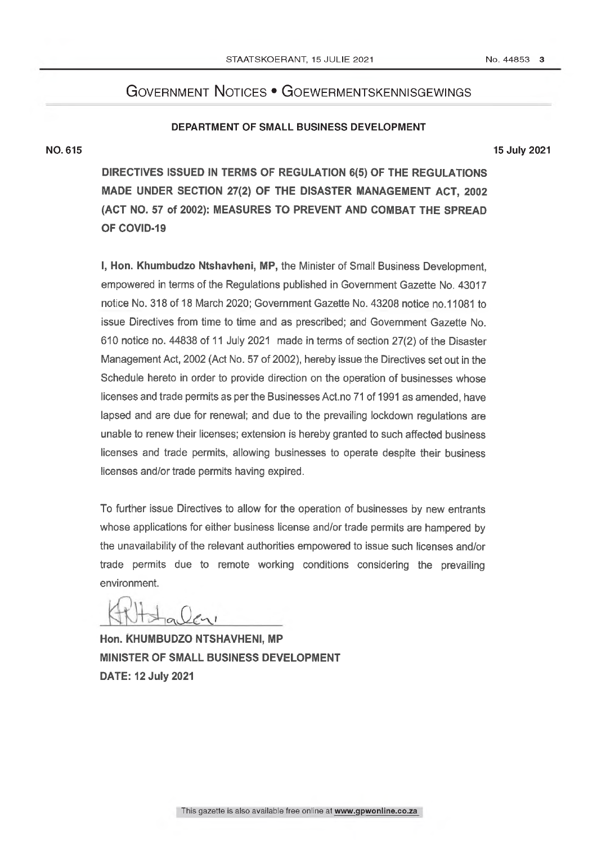# Government Notices • Goewermentskennisgewings

# **DEPARTMENT OF SMALL BUSINESS DEVELOPMENT**

**NO. 615 15 July 2021**

**DIRECTIVES ISSUED IN TERMS OF REGULATION 6(5) OF THE REGULATIONS MADE UNDER SECTION 27(2) OF THE DISASTER MANAGEMENT ACT, 2002 (ACT NO. 57 of 2002): MEASURES TO PREVENT AND COMBAT THE SPREAD OF COVID-19**

**I, Hon. Khumbudzo Ntshavheni, MP,** the Minister of Small Business Development, empowered in terms of the Regulations published in Government Gazette No. 43017 notice No. 318 of 18 March 2020; Government Gazette No. 43208 notice no. 11081 to issue Directives from time to time and as prescribed; and Government Gazette No. 610 notice no. 44838 of <sup>11</sup> July 2021 made in terms of section 27(2) of the Disaster Management Act, 2002 (Act No. 57 of 2002), hereby issue the Directives set out in the Schedule hereto in order to provide direction on the operation of businesses whose licenses and trade permits as per the Businesses Act.no 71 of 1991 as amended, have lapsed and are due for renewal; and due to the prevailing lockdown regulations are unable to renew their licenses; extension is hereby granted to such affected business licenses and trade permits, allowing businesses to operate despite their business licenses and/or trade permits having expired.

To further issue Directives to allow for the operation of businesses by new entrants whose applications for either business license and/or trade permits are hampered by the unavailability of the relevant authorities empowered to issue such licenses and/or trade permits due to remote working conditions considering the prevailing environment.

Veni

**Hon. KHUMBUDZO NTSHAVHENI, MP MINISTER OF SMALL BUSINESS DEVELOPMENT DATE: 12 July 2021**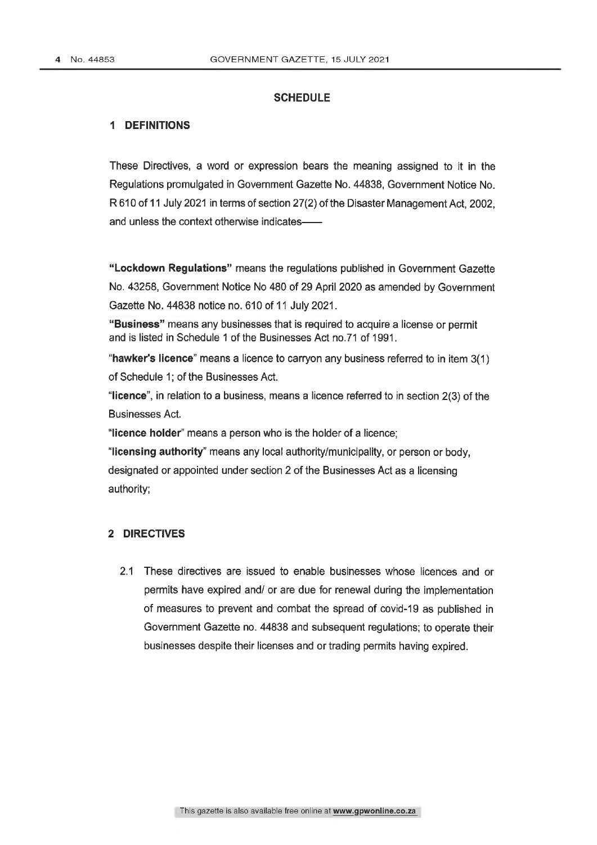# **SCHEDULE**

### **<sup>1</sup> DEFINITIONS**

These Directives, a word or expression bears the meaning assigned to it in the Regulations promulgated in Government Gazette No. 44838, Government Notice No. R 610 of 11 July 2021 in terms of section 27(2) of the Disaster Management Act, 2002, and unless the context otherwise indicates-

**"Lockdown Regulations"** means the regulations published in Government Gazette No. 43258, Government Notice No 480 of 29 April 2020 as amended by Government Gazette No. 44838 notice no. 610 of 11 July 2021.

**"Business"** means any businesses that is required to acquire a license or permit and is listed in Schedule <sup>1</sup> of the Businesses Act no.71 of 1991.

**"hawker's licence"** means a licence to canyon any business referred to in item 3(1) of Schedule 1; of the Businesses Act.

**"licence",** in relation to a business, means a licence referred to in section 2(3) of the Businesses Act.

**"licence holder"** means a person who is the holder of a licence;

**"licensing authority"** means any local authority/municipality, or person or body, designated or appointed under section 2 of the Businesses Act as a licensing authority;

# **2 DIRECTIVES**

2.1 These directives are issued to enable businesses whose licences and or permits have expired and/ or are due for renewal during the implementation of measures to prevent and combat the spread of covid-19 as published in Government Gazette no. 44838 and subsequent regulations; to operate their businesses despite their licenses and or trading permits having expired.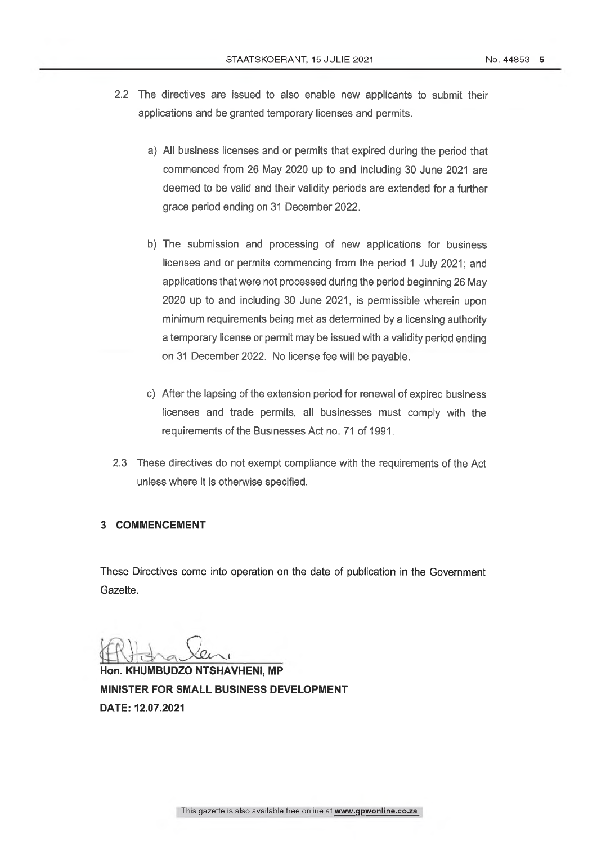- 2.2 The directives are issued to also enable new applicants to submit their applications and be granted temporary licenses and permits.
	- a) All business licenses and or permits that expired during the period that commenced from 26 May 2020 up to and including 30 June 2021 are deemed to be valid and their validity periods are extended for a further grace period ending on 31 December 2022.
	- b) The submission and processing of new applications for business licenses and or permits commencing from the period <sup>1</sup> July 2021; and applications that were not processed during the period beginning 26 May 2020 up to and including 30 June 2021, is permissible wherein upon minimum requirements being met as determined by a licensing authority a temporary license or permit may be issued with a validity period ending on 31 December 2022. No license fee will be payable.
	- c) After the lapsing of the extension period for renewal of expired business licenses and trade permits, all businesses must comply with the requirements of the Businesses Act no. 71 of 1991.
- 2.3 These directives do not exempt compliance with the requirements of the Act unless where it is otherwise specified.

# **3 COMMENCEMENT**

These Directives come into operation on the date of publication in the Government Gazette.

**Hon. KHUMBUDZO NTSHAVHENI, MP MINISTER FOR SMALL BUSINESS DEVELOPMENT DATE: 12.07.2021**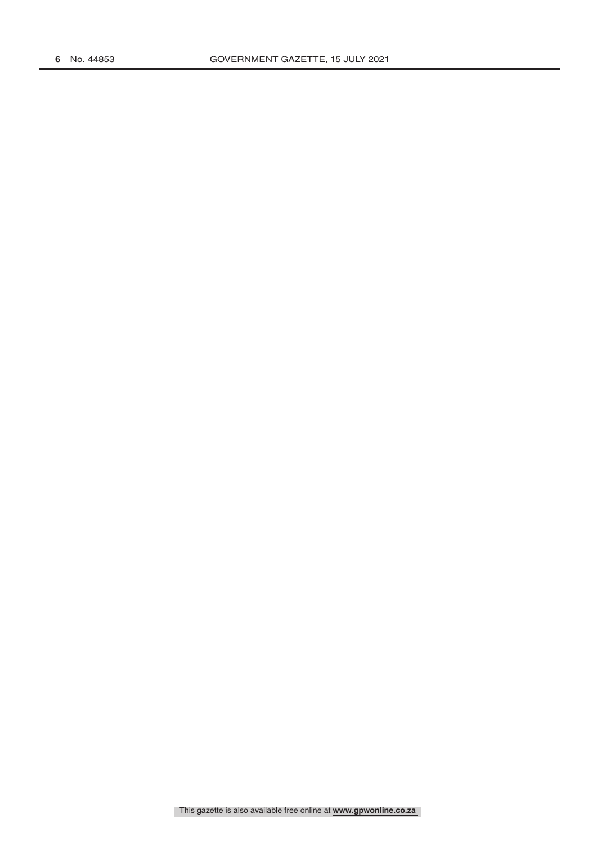This gazette is also available free online at **www.gpwonline.co.za**